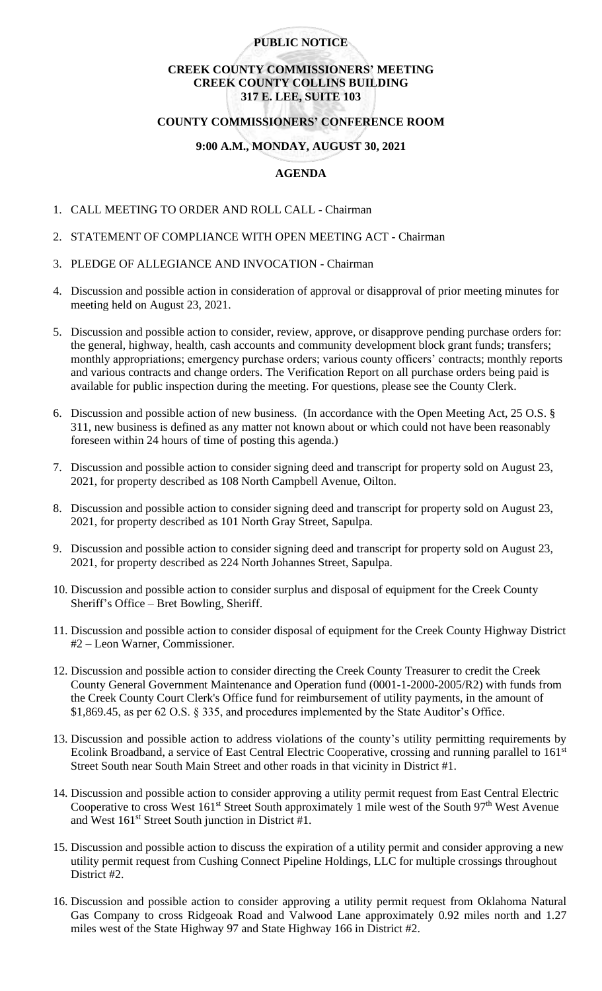## **PUBLIC NOTICE**

# **CREEK COUNTY COMMISSIONERS' MEETING CREEK COUNTY COLLINS BUILDING 317 E. LEE, SUITE 103**

## **COUNTY COMMISSIONERS' CONFERENCE ROOM**

## **9:00 A.M., MONDAY, AUGUST 30, 2021**

# **AGENDA**

- 1. CALL MEETING TO ORDER AND ROLL CALL Chairman
- 2. STATEMENT OF COMPLIANCE WITH OPEN MEETING ACT Chairman
- 3. PLEDGE OF ALLEGIANCE AND INVOCATION Chairman
- 4. Discussion and possible action in consideration of approval or disapproval of prior meeting minutes for meeting held on August 23, 2021.
- 5. Discussion and possible action to consider, review, approve, or disapprove pending purchase orders for: the general, highway, health, cash accounts and community development block grant funds; transfers; monthly appropriations; emergency purchase orders; various county officers' contracts; monthly reports and various contracts and change orders. The Verification Report on all purchase orders being paid is available for public inspection during the meeting. For questions, please see the County Clerk.
- 6. Discussion and possible action of new business. (In accordance with the Open Meeting Act, 25 O.S. § 311, new business is defined as any matter not known about or which could not have been reasonably foreseen within 24 hours of time of posting this agenda.)
- 7. Discussion and possible action to consider signing deed and transcript for property sold on August 23, 2021, for property described as 108 North Campbell Avenue, Oilton.
- 8. Discussion and possible action to consider signing deed and transcript for property sold on August 23, 2021, for property described as 101 North Gray Street, Sapulpa.
- 9. Discussion and possible action to consider signing deed and transcript for property sold on August 23, 2021, for property described as 224 North Johannes Street, Sapulpa.
- 10. Discussion and possible action to consider surplus and disposal of equipment for the Creek County Sheriff's Office – Bret Bowling, Sheriff.
- 11. Discussion and possible action to consider disposal of equipment for the Creek County Highway District #2 – Leon Warner, Commissioner.
- 12. Discussion and possible action to consider directing the Creek County Treasurer to credit the Creek County General Government Maintenance and Operation fund (0001-1-2000-2005/R2) with funds from the Creek County Court Clerk's Office fund for reimbursement of utility payments, in the amount of \$1,869.45, as per 62 O.S. § 335, and procedures implemented by the State Auditor's Office.
- 13. Discussion and possible action to address violations of the county's utility permitting requirements by Ecolink Broadband, a service of East Central Electric Cooperative, crossing and running parallel to 161<sup>st</sup> Street South near South Main Street and other roads in that vicinity in District #1.
- 14. Discussion and possible action to consider approving a utility permit request from East Central Electric Cooperative to cross West 161<sup>st</sup> Street South approximately 1 mile west of the South 97<sup>th</sup> West Avenue and West 161<sup>st</sup> Street South junction in District #1.
- 15. Discussion and possible action to discuss the expiration of a utility permit and consider approving a new utility permit request from Cushing Connect Pipeline Holdings, LLC for multiple crossings throughout District #2.
- 16. Discussion and possible action to consider approving a utility permit request from Oklahoma Natural Gas Company to cross Ridgeoak Road and Valwood Lane approximately 0.92 miles north and 1.27 miles west of the State Highway 97 and State Highway 166 in District #2.